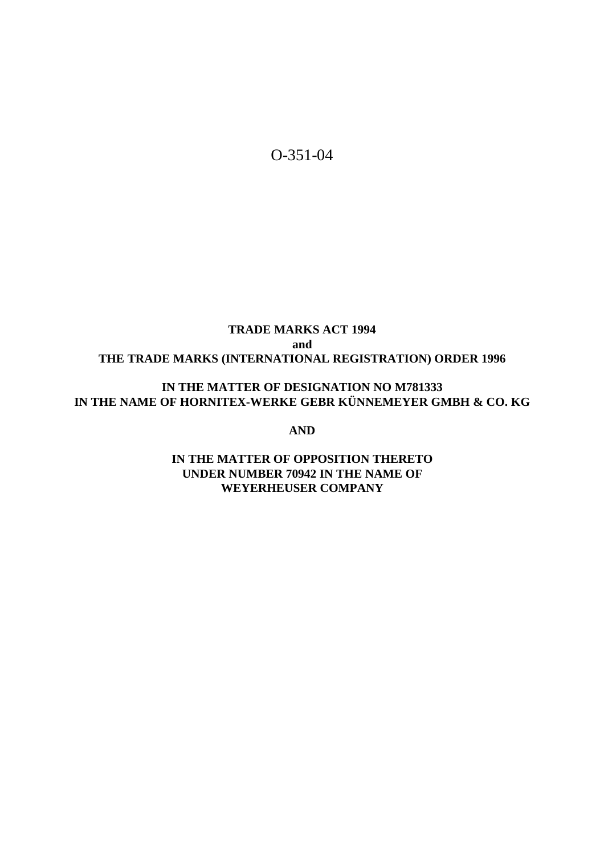O-351-04

# **TRADE MARKS ACT 1994 and THE TRADE MARKS (INTERNATIONAL REGISTRATION) ORDER 1996**

# **IN THE MATTER OF DESIGNATION NO M781333 IN THE NAME OF HORNITEX-WERKE GEBR KÜNNEMEYER GMBH & CO. KG**

**AND**

## **IN THE MATTER OF OPPOSITION THERETO UNDER NUMBER 70942 IN THE NAME OF WEYERHEUSER COMPANY**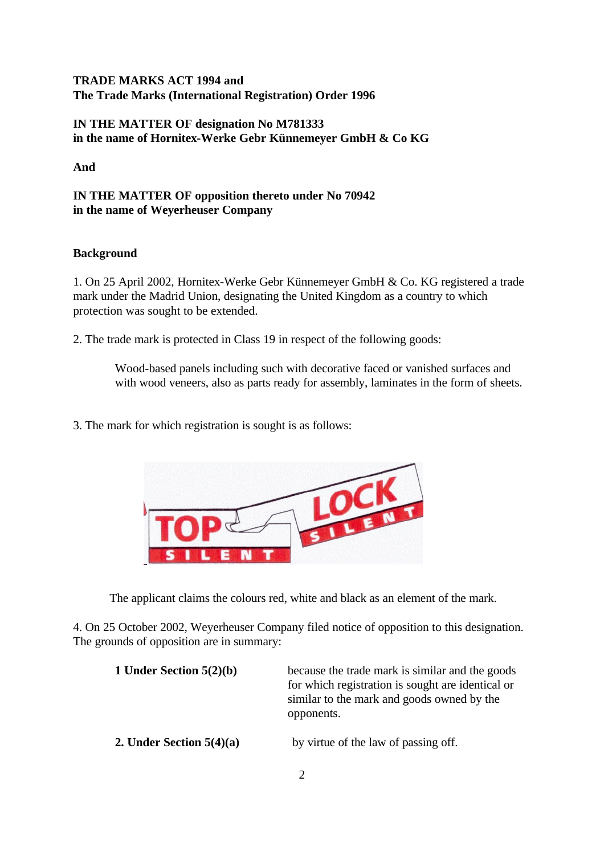# **TRADE MARKS ACT 1994 and The Trade Marks (International Registration) Order 1996**

# **IN THE MATTER OF designation No M781333 in the name of Hornitex-Werke Gebr Künnemeyer GmbH & Co KG**

**And**

# **IN THE MATTER OF opposition thereto under No 70942 in the name of Weyerheuser Company**

# **Background**

1. On 25 April 2002, Hornitex-Werke Gebr Künnemeyer GmbH & Co. KG registered a trade mark under the Madrid Union, designating the United Kingdom as a country to which protection was sought to be extended.

2. The trade mark is protected in Class 19 in respect of the following goods:

Wood-based panels including such with decorative faced or vanished surfaces and with wood veneers, also as parts ready for assembly, laminates in the form of sheets.

3. The mark for which registration is sought is as follows:



The applicant claims the colours red, white and black as an element of the mark.

4. On 25 October 2002, Weyerheuser Company filed notice of opposition to this designation. The grounds of opposition are in summary:

| 1 Under Section $5(2)(b)$  | because the trade mark is similar and the goods<br>for which registration is sought are identical or<br>similar to the mark and goods owned by the<br>opponents. |
|----------------------------|------------------------------------------------------------------------------------------------------------------------------------------------------------------|
| 2. Under Section $5(4)(a)$ | by virtue of the law of passing off.                                                                                                                             |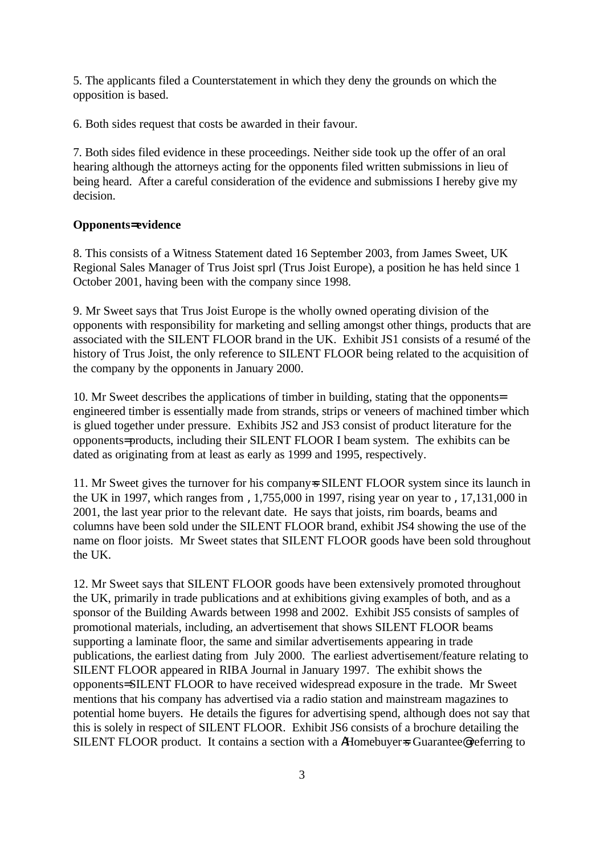5. The applicants filed a Counterstatement in which they deny the grounds on which the opposition is based.

6. Both sides request that costs be awarded in their favour.

7. Both sides filed evidence in these proceedings. Neither side took up the offer of an oral hearing although the attorneys acting for the opponents filed written submissions in lieu of being heard. After a careful consideration of the evidence and submissions I hereby give my decision.

#### **Opponents= evidence**

8. This consists of a Witness Statement dated 16 September 2003, from James Sweet, UK Regional Sales Manager of Trus Joist sprl (Trus Joist Europe), a position he has held since 1 October 2001, having been with the company since 1998.

9. Mr Sweet says that Trus Joist Europe is the wholly owned operating division of the opponents with responsibility for marketing and selling amongst other things, products that are associated with the SILENT FLOOR brand in the UK. Exhibit JS1 consists of a resumé of the history of Trus Joist, the only reference to SILENT FLOOR being related to the acquisition of the company by the opponents in January 2000.

10. Mr Sweet describes the applications of timber in building, stating that the opponents= engineered timber is essentially made from strands, strips or veneers of machined timber which is glued together under pressure. Exhibits JS2 and JS3 consist of product literature for the opponents= products, including their SILENT FLOOR I beam system. The exhibits can be dated as originating from at least as early as 1999 and 1995, respectively.

11. Mr Sweet gives the turnover for his companys SILENT FLOOR system since its launch in the UK in 1997, which ranges from ,1,755,000 in 1997, rising year on year to ,17,131,000 in 2001, the last year prior to the relevant date. He says that joists, rim boards, beams and columns have been sold under the SILENT FLOOR brand, exhibit JS4 showing the use of the name on floor joists. Mr Sweet states that SILENT FLOOR goods have been sold throughout the UK.

12. Mr Sweet says that SILENT FLOOR goods have been extensively promoted throughout the UK, primarily in trade publications and at exhibitions giving examples of both, and as a sponsor of the Building Awards between 1998 and 2002. Exhibit JS5 consists of samples of promotional materials, including, an advertisement that shows SILENT FLOOR beams supporting a laminate floor, the same and similar advertisements appearing in trade publications, the earliest dating from July 2000. The earliest advertisement/feature relating to SILENT FLOOR appeared in RIBA Journal in January 1997. The exhibit shows the opponents= SILENT FLOOR to have received widespread exposure in the trade. Mr Sweet mentions that his company has advertised via a radio station and mainstream magazines to potential home buyers. He details the figures for advertising spend, although does not say that this is solely in respect of SILENT FLOOR. Exhibit JS6 consists of a brochure detailing the SILENT FLOOR product. It contains a section with a AHomebuyer=s Guarantee@ referring to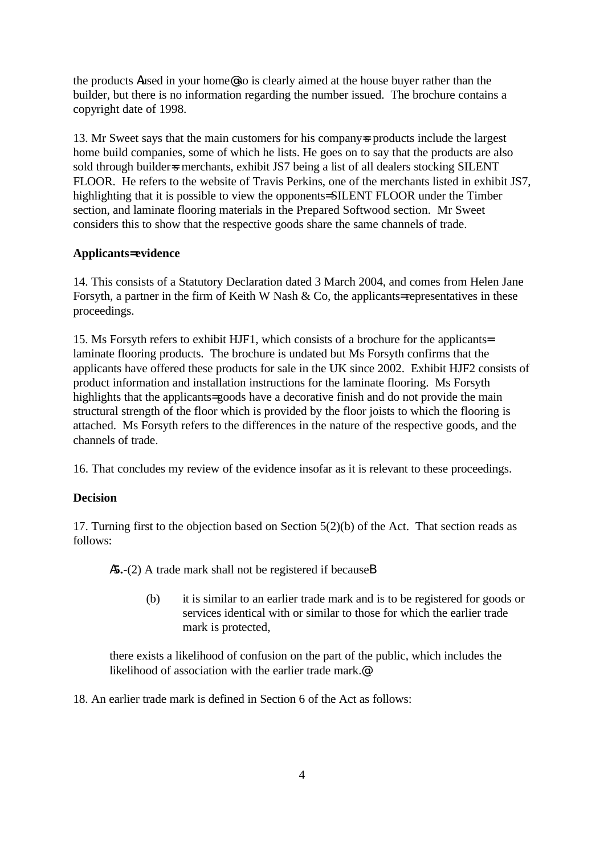the products Aused in your home@ so is clearly aimed at the house buyer rather than the builder, but there is no information regarding the number issued. The brochure contains a copyright date of 1998.

13. Mr Sweet says that the main customers for his companys products include the largest home build companies, some of which he lists. He goes on to say that the products are also sold through builder=s merchants, exhibit JS7 being a list of all dealers stocking SILENT FLOOR. He refers to the website of Travis Perkins, one of the merchants listed in exhibit JS7, highlighting that it is possible to view the opponents= SILENT FLOOR under the Timber section, and laminate flooring materials in the Prepared Softwood section. Mr Sweet considers this to show that the respective goods share the same channels of trade.

## **Applicants= evidence**

14. This consists of a Statutory Declaration dated 3 March 2004, and comes from Helen Jane Forsyth, a partner in the firm of Keith W Nash & Co, the applicants-representatives in these proceedings.

15. Ms Forsyth refers to exhibit HJF1, which consists of a brochure for the applicants= laminate flooring products. The brochure is undated but Ms Forsyth confirms that the applicants have offered these products for sale in the UK since 2002. Exhibit HJF2 consists of product information and installation instructions for the laminate flooring. Ms Forsyth highlights that the applicants= goods have a decorative finish and do not provide the main structural strength of the floor which is provided by the floor joists to which the flooring is attached. Ms Forsyth refers to the differences in the nature of the respective goods, and the channels of trade.

16. That concludes my review of the evidence insofar as it is relevant to these proceedings.

## **Decision**

17. Turning first to the objection based on Section 5(2)(b) of the Act. That section reads as follows:

A**5.**-(2) A trade mark shall not be registered if becauseB

(b) it is similar to an earlier trade mark and is to be registered for goods or services identical with or similar to those for which the earlier trade mark is protected,

there exists a likelihood of confusion on the part of the public, which includes the likelihood of association with the earlier trade mark.<sup>@</sup>

18. An earlier trade mark is defined in Section 6 of the Act as follows: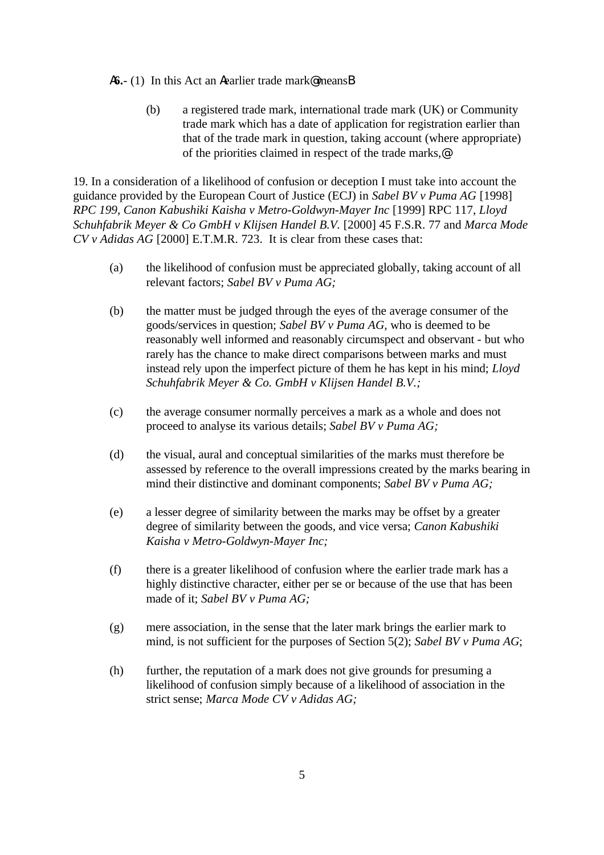A**6.**- (1) In this Act an Aearlier trade mark@ meansB

(b) a registered trade mark, international trade mark (UK) or Community trade mark which has a date of application for registration earlier than that of the trade mark in question, taking account (where appropriate) of the priorities claimed in respect of the trade marks,@

19. In a consideration of a likelihood of confusion or deception I must take into account the guidance provided by the European Court of Justice (ECJ) in *Sabel BV v Puma AG* [1998] *RPC 199, Canon Kabushiki Kaisha v Metro-Goldwyn-Mayer Inc* [1999] RPC 117, *Lloyd Schuhfabrik Meyer & Co GmbH v Klijsen Handel B.V.* [2000] 45 F.S.R. 77 and *Marca Mode CV v Adidas AG* [2000] E.T.M.R. 723. It is clear from these cases that:

- (a) the likelihood of confusion must be appreciated globally, taking account of all relevant factors; *Sabel BV v Puma AG;*
- (b) the matter must be judged through the eyes of the average consumer of the goods/services in question; *Sabel BV v Puma AG,* who is deemed to be reasonably well informed and reasonably circumspect and observant - but who rarely has the chance to make direct comparisons between marks and must instead rely upon the imperfect picture of them he has kept in his mind; *Lloyd Schuhfabrik Meyer & Co. GmbH v Klijsen Handel B.V.;*
- (c) the average consumer normally perceives a mark as a whole and does not proceed to analyse its various details; *Sabel BV v Puma AG;*
- (d) the visual, aural and conceptual similarities of the marks must therefore be assessed by reference to the overall impressions created by the marks bearing in mind their distinctive and dominant components; *Sabel BV v Puma AG;*
- (e) a lesser degree of similarity between the marks may be offset by a greater degree of similarity between the goods, and vice versa; *Canon Kabushiki Kaisha v Metro-Goldwyn-Mayer Inc;*
- (f) there is a greater likelihood of confusion where the earlier trade mark has a highly distinctive character, either per se or because of the use that has been made of it; *Sabel BV v Puma AG;*
- (g) mere association, in the sense that the later mark brings the earlier mark to mind, is not sufficient for the purposes of Section 5(2); *Sabel BV v Puma AG*;
- (h) further, the reputation of a mark does not give grounds for presuming a likelihood of confusion simply because of a likelihood of association in the strict sense; *Marca Mode CV v Adidas AG;*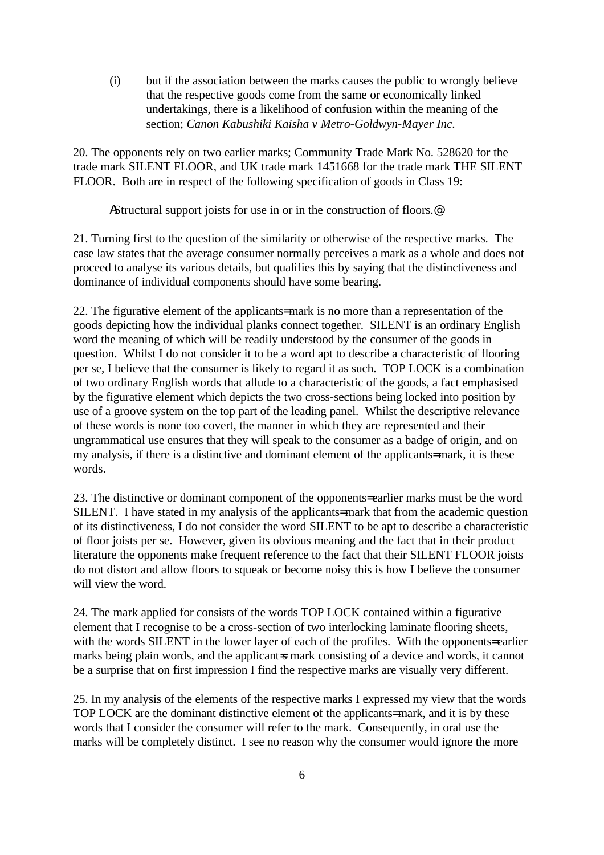(i) but if the association between the marks causes the public to wrongly believe that the respective goods come from the same or economically linked undertakings, there is a likelihood of confusion within the meaning of the section; *Canon Kabushiki Kaisha v Metro-Goldwyn-Mayer Inc.*

20. The opponents rely on two earlier marks; Community Trade Mark No. 528620 for the trade mark SILENT FLOOR, and UK trade mark 1451668 for the trade mark THE SILENT FLOOR. Both are in respect of the following specification of goods in Class 19:

AStructural support joists for use in or in the construction of floors.<sup>@</sup>

21. Turning first to the question of the similarity or otherwise of the respective marks. The case law states that the average consumer normally perceives a mark as a whole and does not proceed to analyse its various details, but qualifies this by saying that the distinctiveness and dominance of individual components should have some bearing.

22. The figurative element of the applicants= mark is no more than a representation of the goods depicting how the individual planks connect together. SILENT is an ordinary English word the meaning of which will be readily understood by the consumer of the goods in question. Whilst I do not consider it to be a word apt to describe a characteristic of flooring per se, I believe that the consumer is likely to regard it as such. TOP LOCK is a combination of two ordinary English words that allude to a characteristic of the goods, a fact emphasised by the figurative element which depicts the two cross-sections being locked into position by use of a groove system on the top part of the leading panel. Whilst the descriptive relevance of these words is none too covert, the manner in which they are represented and their ungrammatical use ensures that they will speak to the consumer as a badge of origin, and on my analysis, if there is a distinctive and dominant element of the applicants= mark, it is these words.

23. The distinctive or dominant component of the opponents= earlier marks must be the word SILENT. I have stated in my analysis of the applicants= mark that from the academic question of its distinctiveness, I do not consider the word SILENT to be apt to describe a characteristic of floor joists per se. However, given its obvious meaning and the fact that in their product literature the opponents make frequent reference to the fact that their SILENT FLOOR joists do not distort and allow floors to squeak or become noisy this is how I believe the consumer will view the word.

24. The mark applied for consists of the words TOP LOCK contained within a figurative element that I recognise to be a cross-section of two interlocking laminate flooring sheets, with the words SILENT in the lower layer of each of the profiles. With the opponents= earlier marks being plain words, and the applicant=s mark consisting of a device and words, it cannot be a surprise that on first impression I find the respective marks are visually very different.

25. In my analysis of the elements of the respective marks I expressed my view that the words TOP LOCK are the dominant distinctive element of the applicants= mark, and it is by these words that I consider the consumer will refer to the mark. Consequently, in oral use the marks will be completely distinct. I see no reason why the consumer would ignore the more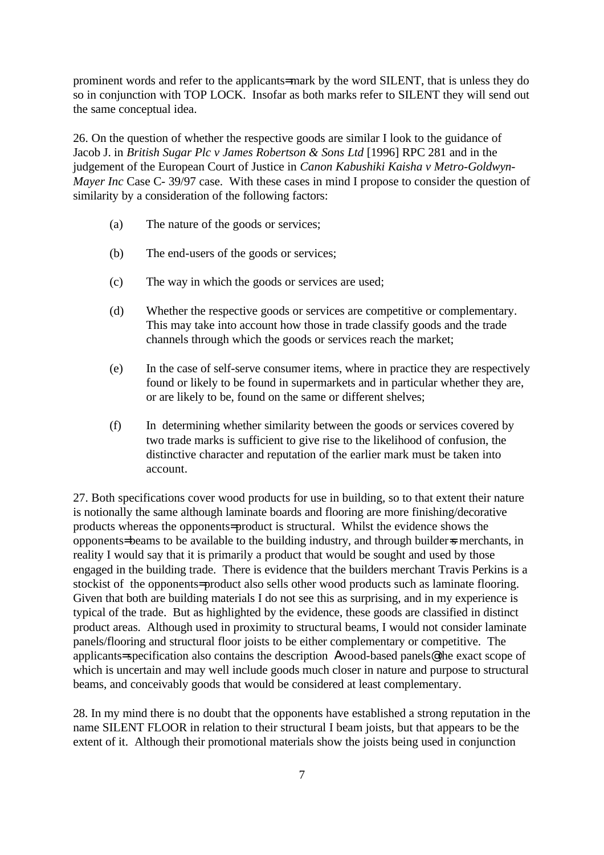prominent words and refer to the applicants= mark by the word SILENT, that is unless they do so in conjunction with TOP LOCK. Insofar as both marks refer to SILENT they will send out the same conceptual idea.

26. On the question of whether the respective goods are similar I look to the guidance of Jacob J. in *British Sugar Plc v James Robertson & Sons Ltd* [1996] RPC 281 and in the judgement of the European Court of Justice in *Canon Kabushiki Kaisha v Metro-Goldwyn-Mayer Inc* Case C- 39/97 case. With these cases in mind I propose to consider the question of similarity by a consideration of the following factors:

- (a) The nature of the goods or services;
- (b) The end-users of the goods or services;
- (c) The way in which the goods or services are used;
- (d) Whether the respective goods or services are competitive or complementary. This may take into account how those in trade classify goods and the trade channels through which the goods or services reach the market;
- (e) In the case of self-serve consumer items, where in practice they are respectively found or likely to be found in supermarkets and in particular whether they are, or are likely to be, found on the same or different shelves;
- (f) In determining whether similarity between the goods or services covered by two trade marks is sufficient to give rise to the likelihood of confusion, the distinctive character and reputation of the earlier mark must be taken into account.

27. Both specifications cover wood products for use in building, so to that extent their nature is notionally the same although laminate boards and flooring are more finishing/decorative products whereas the opponents= product is structural. Whilst the evidence shows the opponents= beams to be available to the building industry, and through builder=s merchants, in reality I would say that it is primarily a product that would be sought and used by those engaged in the building trade. There is evidence that the builders merchant Travis Perkins is a stockist of the opponents= product also sells other wood products such as laminate flooring. Given that both are building materials I do not see this as surprising, and in my experience is typical of the trade. But as highlighted by the evidence, these goods are classified in distinct product areas. Although used in proximity to structural beams, I would not consider laminate panels/flooring and structural floor joists to be either complementary or competitive. The applicants= specification also contains the description Awood-based panels@ the exact scope of which is uncertain and may well include goods much closer in nature and purpose to structural beams, and conceivably goods that would be considered at least complementary.

28. In my mind there is no doubt that the opponents have established a strong reputation in the name SILENT FLOOR in relation to their structural I beam joists, but that appears to be the extent of it. Although their promotional materials show the joists being used in conjunction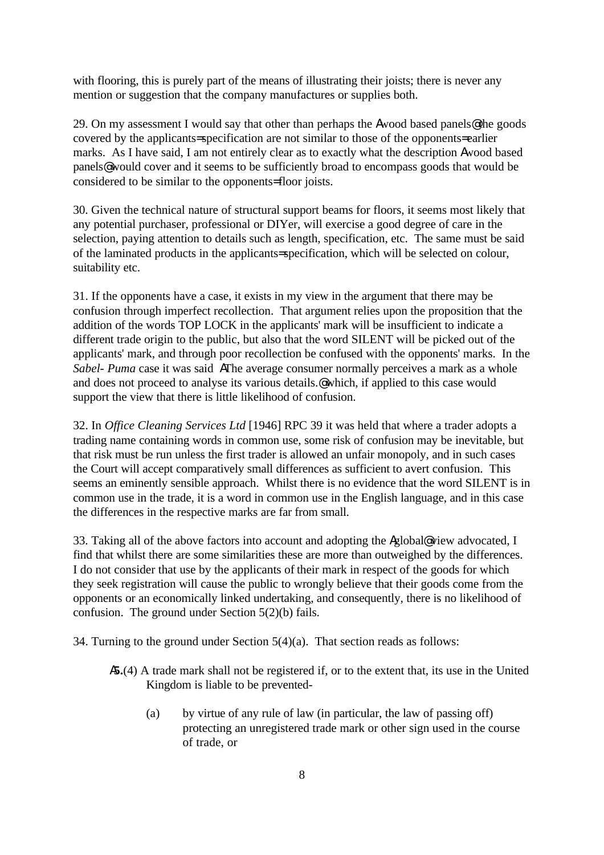with flooring, this is purely part of the means of illustrating their joists; there is never any mention or suggestion that the company manufactures or supplies both.

29. On my assessment I would say that other than perhaps the Awood based panels@ the goods covered by the applicants= specification are not similar to those of the opponents= earlier marks. As I have said, I am not entirely clear as to exactly what the description Awood based panels@ would cover and it seems to be sufficiently broad to encompass goods that would be considered to be similar to the opponents= floor joists.

30. Given the technical nature of structural support beams for floors, it seems most likely that any potential purchaser, professional or DIYer, will exercise a good degree of care in the selection, paying attention to details such as length, specification, etc. The same must be said of the laminated products in the applicants= specification, which will be selected on colour, suitability etc.

31. If the opponents have a case, it exists in my view in the argument that there may be confusion through imperfect recollection. That argument relies upon the proposition that the addition of the words TOP LOCK in the applicants' mark will be insufficient to indicate a different trade origin to the public, but also that the word SILENT will be picked out of the applicants' mark, and through poor recollection be confused with the opponents' marks. In the *Sabel- Puma* case it was said AThe average consumer normally perceives a mark as a whole and does not proceed to analyse its various details.@ which, if applied to this case would support the view that there is little likelihood of confusion.

32. In *Office Cleaning Services Ltd* [1946] RPC 39 it was held that where a trader adopts a trading name containing words in common use, some risk of confusion may be inevitable, but that risk must be run unless the first trader is allowed an unfair monopoly, and in such cases the Court will accept comparatively small differences as sufficient to avert confusion. This seems an eminently sensible approach. Whilst there is no evidence that the word SILENT is in common use in the trade, it is a word in common use in the English language, and in this case the differences in the respective marks are far from small.

33. Taking all of the above factors into account and adopting the Aglobal@ view advocated, I find that whilst there are some similarities these are more than outweighed by the differences. I do not consider that use by the applicants of their mark in respect of the goods for which they seek registration will cause the public to wrongly believe that their goods come from the opponents or an economically linked undertaking, and consequently, there is no likelihood of confusion. The ground under Section 5(2)(b) fails.

34. Turning to the ground under Section 5(4)(a). That section reads as follows:

- A**5.**(4) A trade mark shall not be registered if, or to the extent that, its use in the United Kingdom is liable to be prevented-
	- (a) by virtue of any rule of law (in particular, the law of passing off) protecting an unregistered trade mark or other sign used in the course of trade, or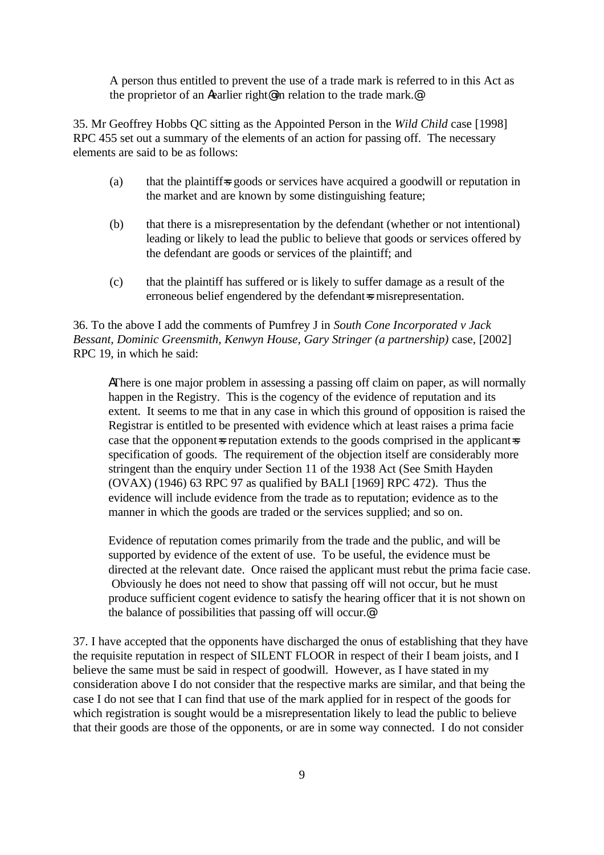A person thus entitled to prevent the use of a trade mark is referred to in this Act as the proprietor of an Aearlier right@in relation to the trade mark.@

35. Mr Geoffrey Hobbs QC sitting as the Appointed Person in the *Wild Child* case [1998] RPC 455 set out a summary of the elements of an action for passing off. The necessary elements are said to be as follows:

- (a) that the plaintiff=s goods or services have acquired a goodwill or reputation in the market and are known by some distinguishing feature;
- (b) that there is a misrepresentation by the defendant (whether or not intentional) leading or likely to lead the public to believe that goods or services offered by the defendant are goods or services of the plaintiff; and
- (c) that the plaintiff has suffered or is likely to suffer damage as a result of the erroneous belief engendered by the defendant is misrepresentation.

36. To the above I add the comments of Pumfrey J in *South Cone Incorporated v Jack Bessant, Dominic Greensmith, Kenwyn House, Gary Stringer (a partnership)* case, [2002] RPC 19, in which he said:

AThere is one major problem in assessing a passing off claim on paper, as will normally happen in the Registry. This is the cogency of the evidence of reputation and its extent. It seems to me that in any case in which this ground of opposition is raised the Registrar is entitled to be presented with evidence which at least raises a prima facie case that the opponent seputation extends to the goods comprised in the applicant separation specification of goods. The requirement of the objection itself are considerably more stringent than the enquiry under Section 11 of the 1938 Act (See Smith Hayden (OVAX) (1946) 63 RPC 97 as qualified by BALI [1969] RPC 472). Thus the evidence will include evidence from the trade as to reputation; evidence as to the manner in which the goods are traded or the services supplied; and so on.

Evidence of reputation comes primarily from the trade and the public, and will be supported by evidence of the extent of use. To be useful, the evidence must be directed at the relevant date. Once raised the applicant must rebut the prima facie case. Obviously he does not need to show that passing off will not occur, but he must produce sufficient cogent evidence to satisfy the hearing officer that it is not shown on the balance of possibilities that passing off will occur.@

37. I have accepted that the opponents have discharged the onus of establishing that they have the requisite reputation in respect of SILENT FLOOR in respect of their I beam joists, and I believe the same must be said in respect of goodwill. However, as I have stated in my consideration above I do not consider that the respective marks are similar, and that being the case I do not see that I can find that use of the mark applied for in respect of the goods for which registration is sought would be a misrepresentation likely to lead the public to believe that their goods are those of the opponents, or are in some way connected. I do not consider